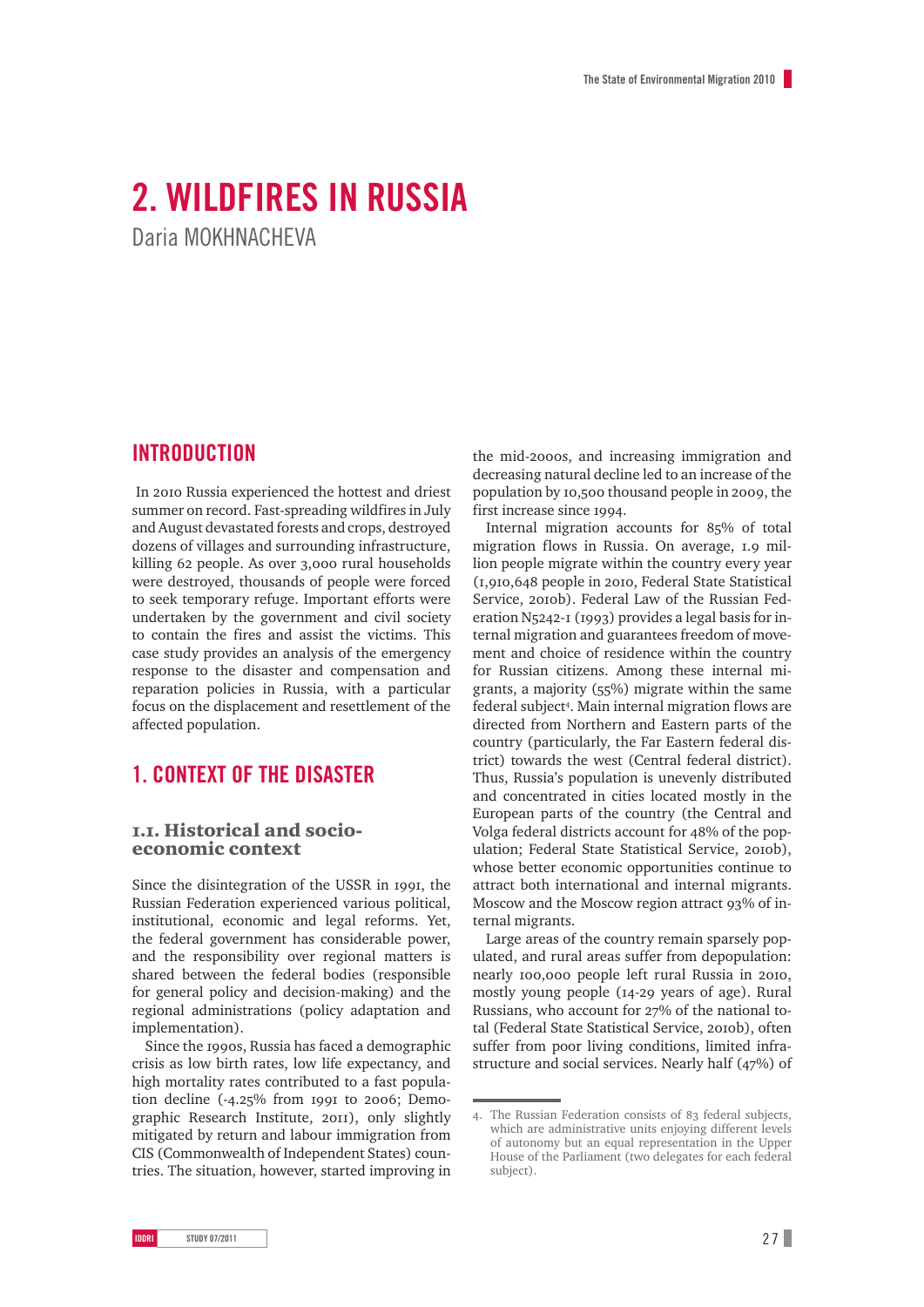# **2. Wildfires in Russia**

Daria MOKHNACHEVA

## **Introduction**

 In 2010 Russia experienced the hottest and driest summer on record. Fast-spreading wildfires in July and August devastated forests and crops, destroyed dozens of villages and surrounding infrastructure, killing 62 people. As over 3,000 rural households were destroyed, thousands of people were forced to seek temporary refuge. Important efforts were undertaken by the government and civil society to contain the fires and assist the victims. This case study provides an analysis of the emergency response to the disaster and compensation and reparation policies in Russia, with a particular focus on the displacement and resettlement of the affected population.

# **1. Context of the disaster**

#### 1.1. Historical and socioeconomic context

Since the disintegration of the USSR in 1991, the Russian Federation experienced various political, institutional, economic and legal reforms. Yet, the federal government has considerable power, and the responsibility over regional matters is shared between the federal bodies (responsible for general policy and decision-making) and the regional administrations (policy adaptation and implementation).

Since the 1990s, Russia has faced a demographic crisis as low birth rates, low life expectancy, and high mortality rates contributed to a fast population decline (-4.25% from 1991 to 2006; Demographic Research Institute, 2011), only slightly mitigated by return and labour immigration from CIS (Commonwealth of Independent States) countries. The situation, however, started improving in the mid-2000s, and increasing immigration and decreasing natural decline led to an increase of the population by 10,500 thousand people in 2009, the first increase since 1994.

Internal migration accounts for 85% of total migration flows in Russia. On average, 1.9 million people migrate within the country every year (1,910,648 people in 2010, Federal State Statistical Service, 2010b). Federal Law of the Russian Federation N5242-1 (1993) provides a legal basis for internal migration and guarantees freedom of movement and choice of residence within the country for Russian citizens. Among these internal migrants, a majority (55%) migrate within the same federal subject<sup>4</sup>. Main internal migration flows are directed from Northern and Eastern parts of the country (particularly, the Far Eastern federal district) towards the west (Central federal district). Thus, Russia's population is unevenly distributed and concentrated in cities located mostly in the European parts of the country (the Central and Volga federal districts account for 48% of the population; Federal State Statistical Service, 2010b), whose better economic opportunities continue to attract both international and internal migrants. Moscow and the Moscow region attract 93% of internal migrants.

Large areas of the country remain sparsely populated, and rural areas suffer from depopulation: nearly 100,000 people left rural Russia in 2010, mostly young people (14-29 years of age). Rural Russians, who account for 27% of the national total (Federal State Statistical Service, 2010b), often suffer from poor living conditions, limited infrastructure and social services. Nearly half (47%) of

<sup>4.</sup> The Russian Federation consists of 83 federal subjects, which are administrative units enjoying different levels of autonomy but an equal representation in the Upper House of the Parliament (two delegates for each federal subject).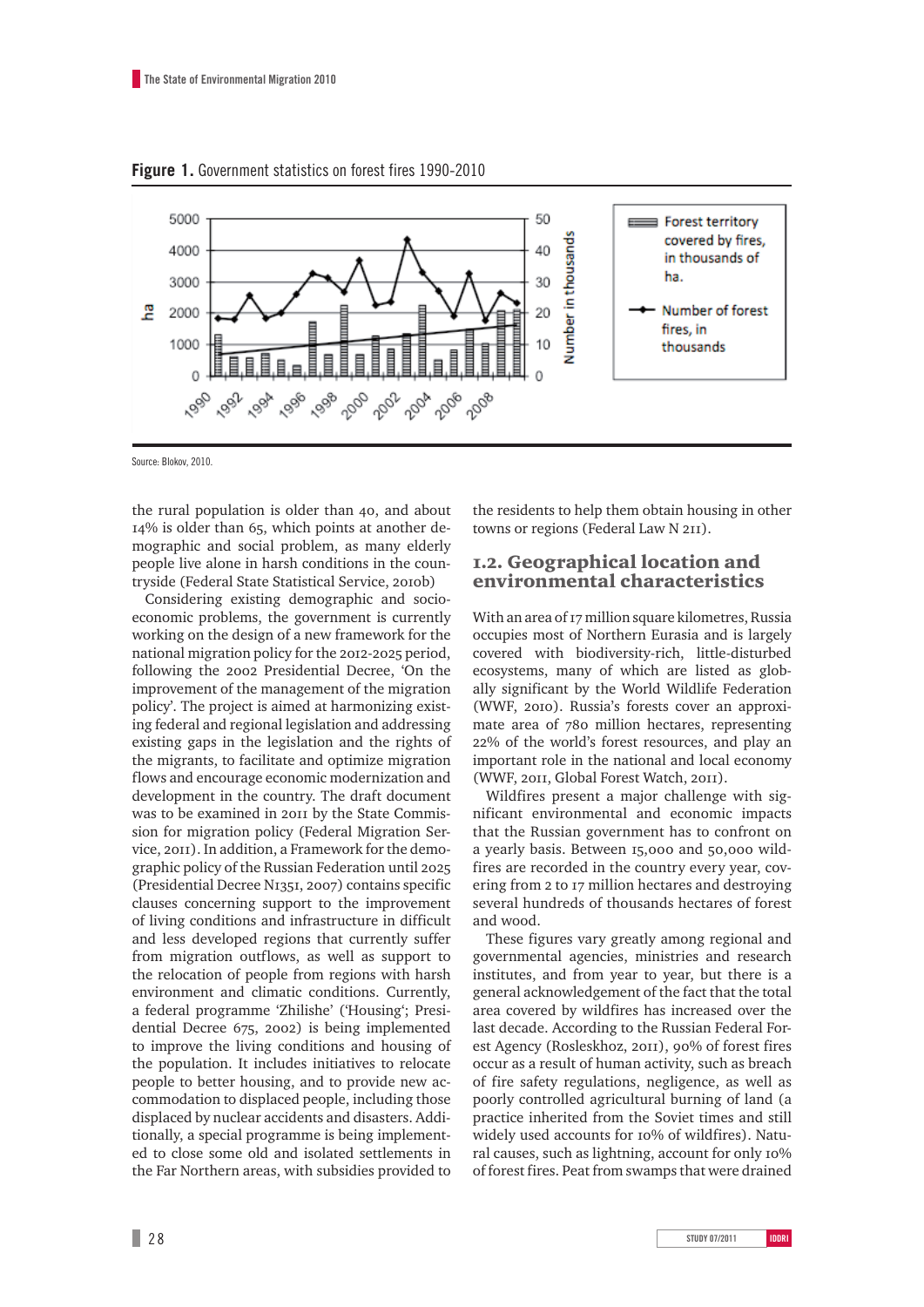

**Figure 1.** Government statistics on forest fires 1990-2010

Source: Blokov, 2010.

the rural population is older than 40, and about 14% is older than 65, which points at another demographic and social problem, as many elderly people live alone in harsh conditions in the countryside (Federal State Statistical Service, 2010b)

Considering existing demographic and socioeconomic problems, the government is currently working on the design of a new framework for the national migration policy for the 2012-2025 period, following the 2002 Presidential Decree, 'On the improvement of the management of the migration policy'. The project is aimed at harmonizing existing federal and regional legislation and addressing existing gaps in the legislation and the rights of the migrants, to facilitate and optimize migration flows and encourage economic modernization and development in the country. The draft document was to be examined in 2011 by the State Commission for migration policy (Federal Migration Service, 2011). In addition, a Framework for the demographic policy of the Russian Federation until 2025 (Presidential Decree N1351, 2007) contains specific clauses concerning support to the improvement of living conditions and infrastructure in difficult and less developed regions that currently suffer from migration outflows, as well as support to the relocation of people from regions with harsh environment and climatic conditions. Currently, a federal programme 'Zhilishe' ('Housing'; Presidential Decree 675, 2002) is being implemented to improve the living conditions and housing of the population. It includes initiatives to relocate people to better housing, and to provide new accommodation to displaced people, including those displaced by nuclear accidents and disasters. Additionally, a special programme is being implemented to close some old and isolated settlements in the Far Northern areas, with subsidies provided to

the residents to help them obtain housing in other towns or regions (Federal Law N 211).

#### 1.2. Geographical location and environmental characteristics

With an area of 17 million square kilometres, Russia occupies most of Northern Eurasia and is largely covered with biodiversity-rich, little-disturbed ecosystems, many of which are listed as globally significant by the World Wildlife Federation (WWF, 2010). Russia's forests cover an approximate area of 780 million hectares, representing 22% of the world's forest resources, and play an important role in the national and local economy (WWF, 2011, Global Forest Watch, 2011).

Wildfires present a major challenge with significant environmental and economic impacts that the Russian government has to confront on a yearly basis. Between 15,000 and 50,000 wildfires are recorded in the country every year, covering from 2 to 17 million hectares and destroying several hundreds of thousands hectares of forest and wood.

These figures vary greatly among regional and governmental agencies, ministries and research institutes, and from year to year, but there is a general acknowledgement of the fact that the total area covered by wildfires has increased over the last decade. According to the Russian Federal Forest Agency (Rosleskhoz, 2011), 90% of forest fires occur as a result of human activity, such as breach of fire safety regulations, negligence, as well as poorly controlled agricultural burning of land (a practice inherited from the Soviet times and still widely used accounts for 10% of wildfires). Natural causes, such as lightning, account for only 10% of forest fires. Peat from swamps that were drained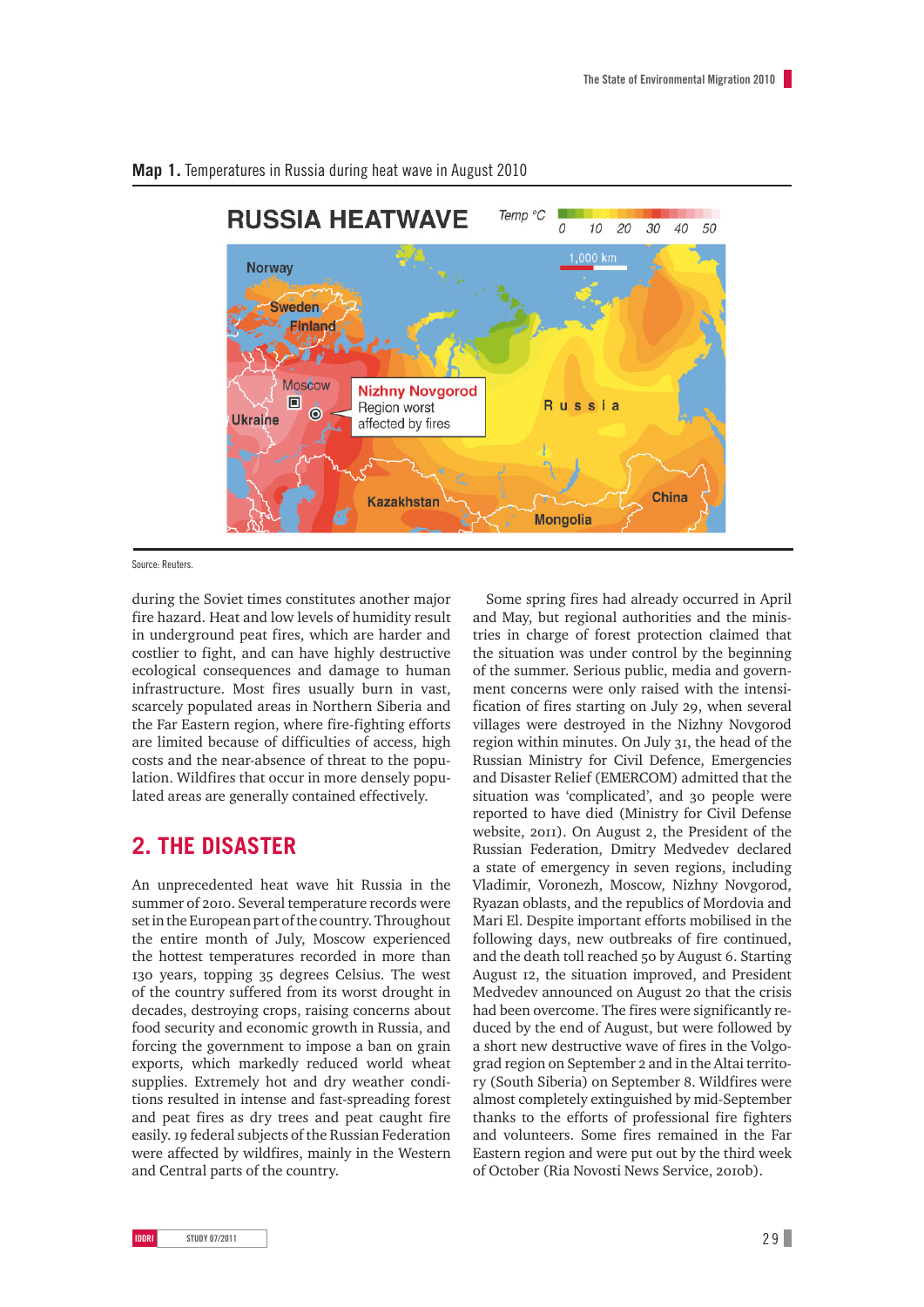

**Map 1.** Temperatures in Russia during heat wave in August 2010

Source: Reuters.

during the Soviet times constitutes another major fire hazard. Heat and low levels of humidity result in underground peat fires, which are harder and costlier to fight, and can have highly destructive ecological consequences and damage to human infrastructure. Most fires usually burn in vast, scarcely populated areas in Northern Siberia and the Far Eastern region, where fire-fighting efforts are limited because of difficulties of access, high costs and the near-absence of threat to the population. Wildfires that occur in more densely populated areas are generally contained effectively.

## **2. The disaster**

An unprecedented heat wave hit Russia in the summer of 2010. Several temperature records were set in the European part of the country. Throughout the entire month of July, Moscow experienced the hottest temperatures recorded in more than 130 years, topping 35 degrees Celsius. The west of the country suffered from its worst drought in decades, destroying crops, raising concerns about food security and economic growth in Russia, and forcing the government to impose a ban on grain exports, which markedly reduced world wheat supplies. Extremely hot and dry weather conditions resulted in intense and fast-spreading forest and peat fires as dry trees and peat caught fire easily. 19 federal subjects of the Russian Federation were affected by wildfires, mainly in the Western and Central parts of the country.

Some spring fires had already occurred in April and May, but regional authorities and the ministries in charge of forest protection claimed that the situation was under control by the beginning of the summer. Serious public, media and government concerns were only raised with the intensification of fires starting on July 29, when several villages were destroyed in the Nizhny Novgorod region within minutes. On July 31, the head of the Russian Ministry for Civil Defence, Emergencies and Disaster Relief (EMERCOM) admitted that the situation was 'complicated', and 30 people were reported to have died (Ministry for Civil Defense website, 2011). On August 2, the President of the Russian Federation, Dmitry Medvedev declared a state of emergency in seven regions, including Vladimir, Voronezh, Moscow, Nizhny Novgorod, Ryazan oblasts, and the republics of Mordovia and Mari El. Despite important efforts mobilised in the following days, new outbreaks of fire continued, and the death toll reached 50 by August 6. Starting August 12, the situation improved, and President Medvedev announced on August 20 that the crisis had been overcome. The fires were significantly reduced by the end of August, but were followed by a short new destructive wave of fires in the Volgograd region on September 2 and in the Altai territory (South Siberia) on September 8. Wildfires were almost completely extinguished by mid-September thanks to the efforts of professional fire fighters and volunteers. Some fires remained in the Far Eastern region and were put out by the third week of October (Ria Novosti News Service, 2010b).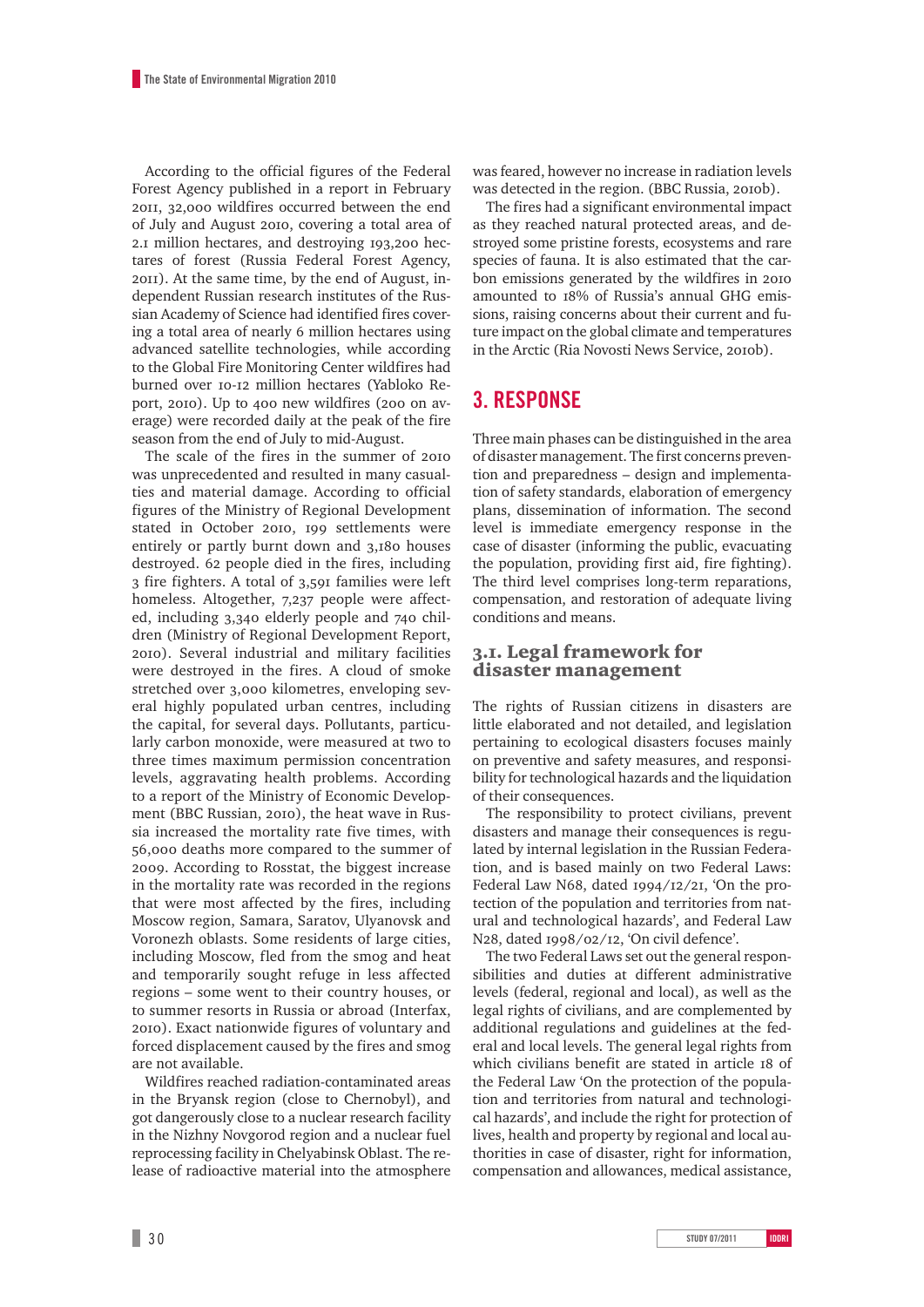According to the official figures of the Federal Forest Agency published in a report in February 2011, 32,000 wildfires occurred between the end of July and August 2010, covering a total area of 2.1 million hectares, and destroying 193,200 hectares of forest (Russia Federal Forest Agency, 2011). At the same time, by the end of August, independent Russian research institutes of the Russian Academy of Science had identified fires covering a total area of nearly 6 million hectares using advanced satellite technologies, while according to the Global Fire Monitoring Center wildfires had burned over 10-12 million hectares (Yabloko Report, 2010). Up to 400 new wildfires (200 on average) were recorded daily at the peak of the fire season from the end of July to mid-August.

The scale of the fires in the summer of 2010 was unprecedented and resulted in many casualties and material damage. According to official figures of the Ministry of Regional Development stated in October 2010, 199 settlements were entirely or partly burnt down and 3,180 houses destroyed. 62 people died in the fires, including 3 fire fighters. A total of 3,591 families were left homeless. Altogether, 7,237 people were affected, including 3,340 elderly people and 740 children (Ministry of Regional Development Report, 2010). Several industrial and military facilities were destroyed in the fires. A cloud of smoke stretched over 3,000 kilometres, enveloping several highly populated urban centres, including the capital, for several days. Pollutants, particularly carbon monoxide, were measured at two to three times maximum permission concentration levels, aggravating health problems. According to a report of the Ministry of Economic Development (BBC Russian, 2010), the heat wave in Russia increased the mortality rate five times, with 56,000 deaths more compared to the summer of 2009. According to Rosstat, the biggest increase in the mortality rate was recorded in the regions that were most affected by the fires, including Moscow region, Samara, Saratov, Ulyanovsk and Voronezh oblasts. Some residents of large cities, including Moscow, fled from the smog and heat and temporarily sought refuge in less affected regions – some went to their country houses, or to summer resorts in Russia or abroad (Interfax, 2010). Exact nationwide figures of voluntary and forced displacement caused by the fires and smog are not available.

Wildfires reached radiation-contaminated areas in the Bryansk region (close to Chernobyl), and got dangerously close to a nuclear research facility in the Nizhny Novgorod region and a nuclear fuel reprocessing facility in Chelyabinsk Oblast. The release of radioactive material into the atmosphere was feared, however no increase in radiation levels was detected in the region. (BBC Russia, 2010b).

The fires had a significant environmental impact as they reached natural protected areas, and destroyed some pristine forests, ecosystems and rare species of fauna. It is also estimated that the carbon emissions generated by the wildfires in 2010 amounted to 18% of Russia's annual GHG emissions, raising concerns about their current and future impact on the global climate and temperatures in the Arctic (Ria Novosti News Service, 2010b).

## **3. Response**

Three main phases can be distinguished in the area of disaster management. The first concerns prevention and preparedness – design and implementation of safety standards, elaboration of emergency plans, dissemination of information. The second level is immediate emergency response in the case of disaster (informing the public, evacuating the population, providing first aid, fire fighting). The third level comprises long-term reparations, compensation, and restoration of adequate living conditions and means.

#### 3.1. Legal framework for disaster management

The rights of Russian citizens in disasters are little elaborated and not detailed, and legislation pertaining to ecological disasters focuses mainly on preventive and safety measures, and responsibility for technological hazards and the liquidation of their consequences.

The responsibility to protect civilians, prevent disasters and manage their consequences is regulated by internal legislation in the Russian Federation, and is based mainly on two Federal Laws: Federal Law N68, dated 1994/12/21, 'On the protection of the population and territories from natural and technological hazards', and Federal Law N28, dated 1998/02/12, 'On civil defence'.

The two Federal Laws set out the general responsibilities and duties at different administrative levels (federal, regional and local), as well as the legal rights of civilians, and are complemented by additional regulations and guidelines at the federal and local levels. The general legal rights from which civilians benefit are stated in article 18 of the Federal Law 'On the protection of the population and territories from natural and technological hazards', and include the right for protection of lives, health and property by regional and local authorities in case of disaster, right for information, compensation and allowances, medical assistance,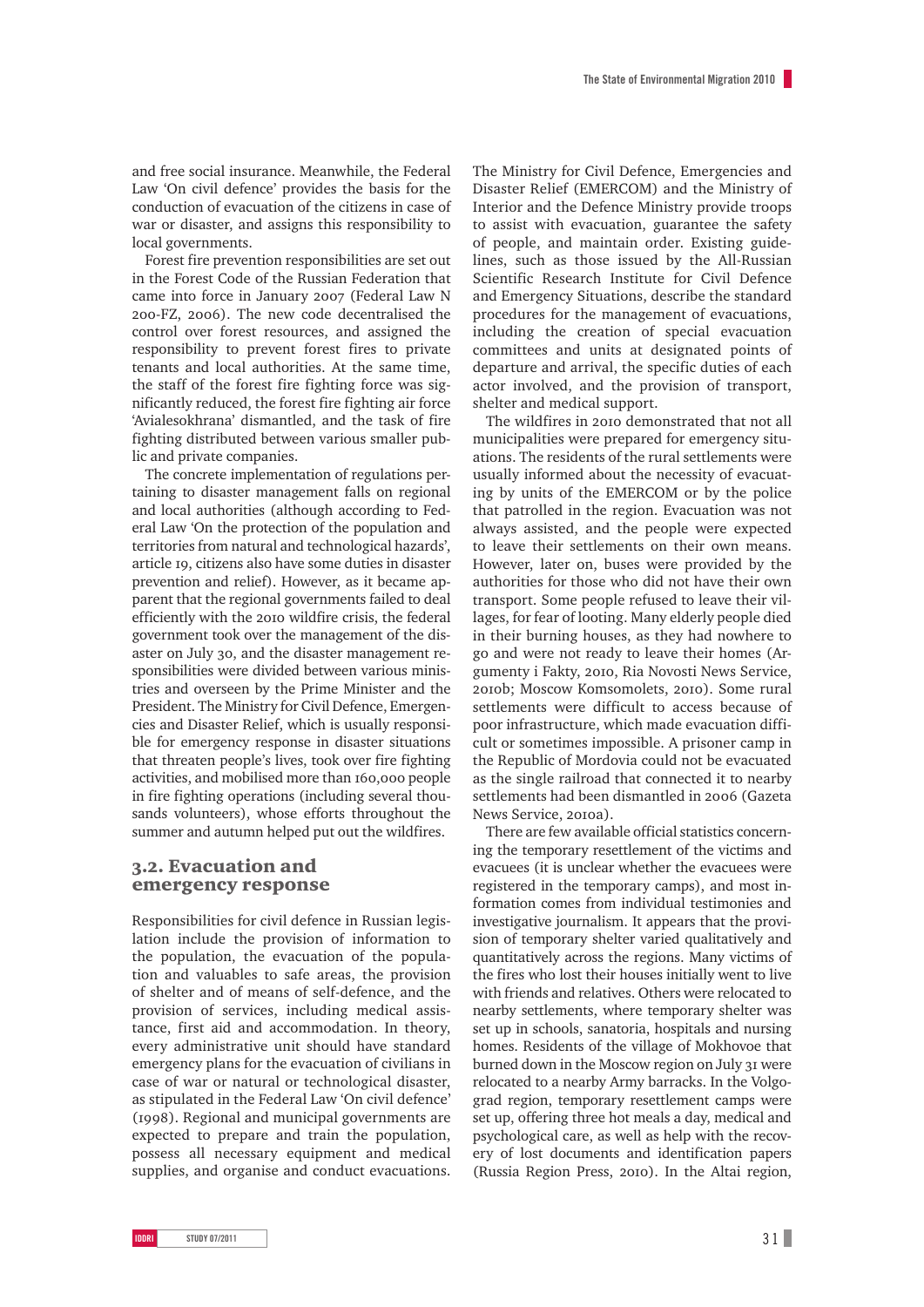and free social insurance. Meanwhile, the Federal Law 'On civil defence' provides the basis for the conduction of evacuation of the citizens in case of war or disaster, and assigns this responsibility to local governments.

Forest fire prevention responsibilities are set out in the Forest Code of the Russian Federation that came into force in January 2007 (Federal Law N 200-FZ, 2006). The new code decentralised the control over forest resources, and assigned the responsibility to prevent forest fires to private tenants and local authorities. At the same time, the staff of the forest fire fighting force was significantly reduced, the forest fire fighting air force 'Avialesokhrana' dismantled, and the task of fire fighting distributed between various smaller public and private companies.

The concrete implementation of regulations pertaining to disaster management falls on regional and local authorities (although according to Federal Law 'On the protection of the population and territories from natural and technological hazards', article 19, citizens also have some duties in disaster prevention and relief). However, as it became apparent that the regional governments failed to deal efficiently with the 2010 wildfire crisis, the federal government took over the management of the disaster on July 30, and the disaster management responsibilities were divided between various ministries and overseen by the Prime Minister and the President. The Ministry for Civil Defence, Emergencies and Disaster Relief, which is usually responsible for emergency response in disaster situations that threaten people's lives, took over fire fighting activities, and mobilised more than 160,000 people in fire fighting operations (including several thousands volunteers), whose efforts throughout the summer and autumn helped put out the wildfires.

#### 3.2. Evacuation and emergency response

Responsibilities for civil defence in Russian legislation include the provision of information to the population, the evacuation of the population and valuables to safe areas, the provision of shelter and of means of self-defence, and the provision of services, including medical assistance, first aid and accommodation. In theory, every administrative unit should have standard emergency plans for the evacuation of civilians in case of war or natural or technological disaster, as stipulated in the Federal Law 'On civil defence' (1998). Regional and municipal governments are expected to prepare and train the population, possess all necessary equipment and medical supplies, and organise and conduct evacuations. The Ministry for Civil Defence, Emergencies and Disaster Relief (EMERCOM) and the Ministry of Interior and the Defence Ministry provide troops to assist with evacuation, guarantee the safety of people, and maintain order. Existing guidelines, such as those issued by the All-Russian Scientific Research Institute for Civil Defence and Emergency Situations, describe the standard procedures for the management of evacuations, including the creation of special evacuation committees and units at designated points of departure and arrival, the specific duties of each actor involved, and the provision of transport, shelter and medical support.

The wildfires in 2010 demonstrated that not all municipalities were prepared for emergency situations. The residents of the rural settlements were usually informed about the necessity of evacuating by units of the EMERCOM or by the police that patrolled in the region. Evacuation was not always assisted, and the people were expected to leave their settlements on their own means. However, later on, buses were provided by the authorities for those who did not have their own transport. Some people refused to leave their villages, for fear of looting. Many elderly people died in their burning houses, as they had nowhere to go and were not ready to leave their homes (Argumenty i Fakty, 2010, Ria Novosti News Service, 2010b; Moscow Komsomolets, 2010). Some rural settlements were difficult to access because of poor infrastructure, which made evacuation difficult or sometimes impossible. A prisoner camp in the Republic of Mordovia could not be evacuated as the single railroad that connected it to nearby settlements had been dismantled in 2006 (Gazeta News Service, 2010a).

There are few available official statistics concerning the temporary resettlement of the victims and evacuees (it is unclear whether the evacuees were registered in the temporary camps), and most information comes from individual testimonies and investigative journalism. It appears that the provision of temporary shelter varied qualitatively and quantitatively across the regions. Many victims of the fires who lost their houses initially went to live with friends and relatives. Others were relocated to nearby settlements, where temporary shelter was set up in schools, sanatoria, hospitals and nursing homes. Residents of the village of Mokhovoe that burned down in the Moscow region on July 31 were relocated to a nearby Army barracks. In the Volgograd region, temporary resettlement camps were set up, offering three hot meals a day, medical and psychological care, as well as help with the recovery of lost documents and identification papers (Russia Region Press, 2010). In the Altai region,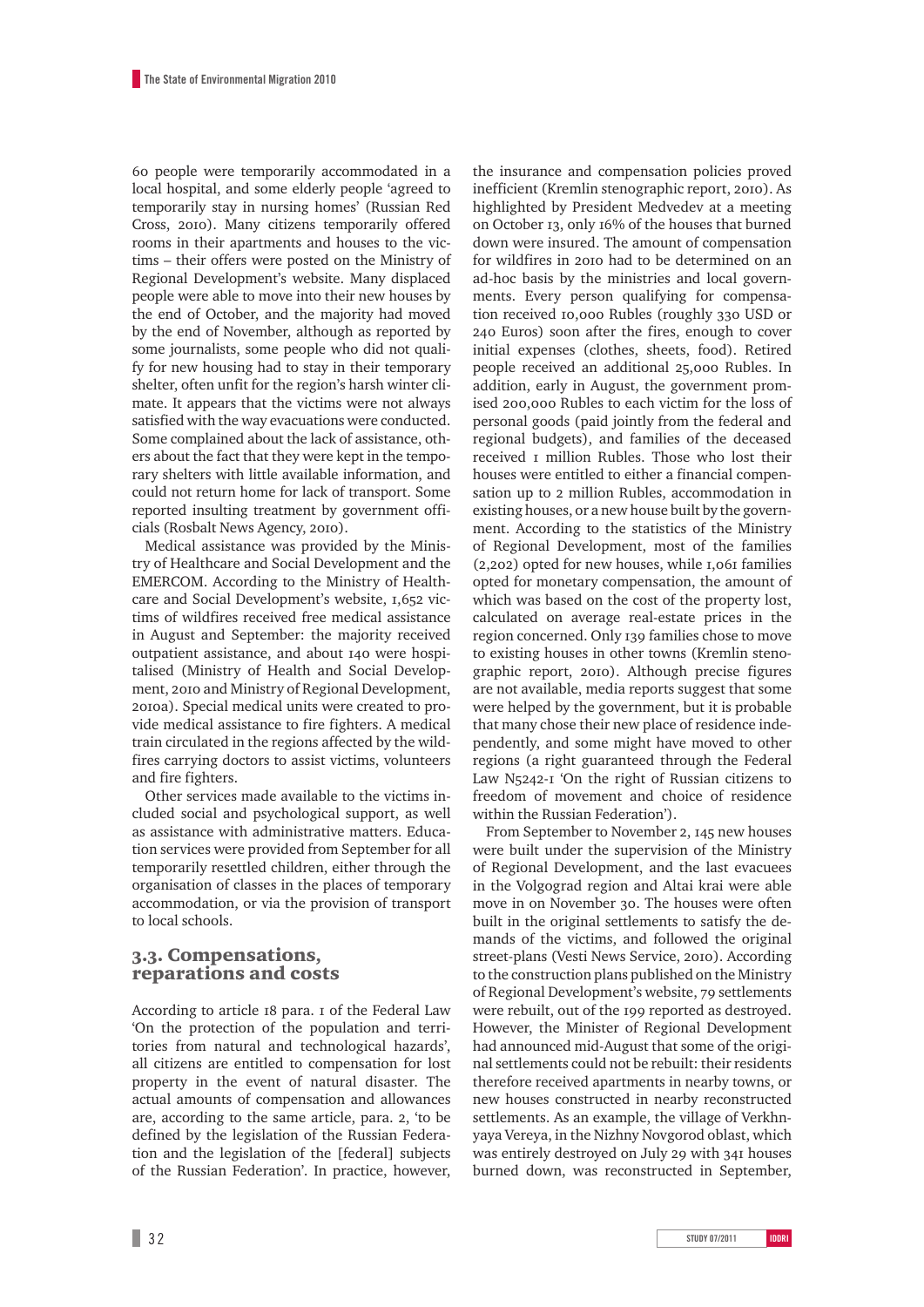60 people were temporarily accommodated in a local hospital, and some elderly people 'agreed to temporarily stay in nursing homes' (Russian Red Cross, 2010). Many citizens temporarily offered rooms in their apartments and houses to the victims – their offers were posted on the Ministry of Regional Development's website. Many displaced people were able to move into their new houses by the end of October, and the majority had moved by the end of November, although as reported by some journalists, some people who did not qualify for new housing had to stay in their temporary shelter, often unfit for the region's harsh winter climate. It appears that the victims were not always satisfied with the way evacuations were conducted. Some complained about the lack of assistance, others about the fact that they were kept in the temporary shelters with little available information, and could not return home for lack of transport. Some reported insulting treatment by government officials (Rosbalt News Agency, 2010).

Medical assistance was provided by the Ministry of Healthcare and Social Development and the EMERCOM. According to the Ministry of Healthcare and Social Development's website, 1,652 victims of wildfires received free medical assistance in August and September: the majority received outpatient assistance, and about 140 were hospitalised (Ministry of Health and Social Development, 2010 and Ministry of Regional Development, 2010a). Special medical units were created to provide medical assistance to fire fighters. A medical train circulated in the regions affected by the wildfires carrying doctors to assist victims, volunteers and fire fighters.

Other services made available to the victims included social and psychological support, as well as assistance with administrative matters. Education services were provided from September for all temporarily resettled children, either through the organisation of classes in the places of temporary accommodation, or via the provision of transport to local schools.

#### 3.3. Compensations, reparations and costs

According to article 18 para. 1 of the Federal Law 'On the protection of the population and territories from natural and technological hazards', all citizens are entitled to compensation for lost property in the event of natural disaster. The actual amounts of compensation and allowances are, according to the same article, para. 2, 'to be defined by the legislation of the Russian Federation and the legislation of the [federal] subjects of the Russian Federation'. In practice, however,

the insurance and compensation policies proved inefficient (Kremlin stenographic report, 2010). As highlighted by President Medvedev at a meeting on October 13, only 16% of the houses that burned down were insured. The amount of compensation for wildfires in 2010 had to be determined on an ad-hoc basis by the ministries and local governments. Every person qualifying for compensation received 10,000 Rubles (roughly 330 USD or 240 Euros) soon after the fires, enough to cover initial expenses (clothes, sheets, food). Retired people received an additional 25,000 Rubles. In addition, early in August, the government promised 200,000 Rubles to each victim for the loss of personal goods (paid jointly from the federal and regional budgets), and families of the deceased received 1 million Rubles. Those who lost their houses were entitled to either a financial compensation up to 2 million Rubles, accommodation in existing houses, or a new house built by the government. According to the statistics of the Ministry of Regional Development, most of the families (2,202) opted for new houses, while 1,061 families opted for monetary compensation, the amount of which was based on the cost of the property lost, calculated on average real-estate prices in the region concerned. Only 139 families chose to move to existing houses in other towns (Kremlin stenographic report, 2010). Although precise figures are not available, media reports suggest that some were helped by the government, but it is probable that many chose their new place of residence independently, and some might have moved to other regions (a right guaranteed through the Federal Law N5242-1 'On the right of Russian citizens to freedom of movement and choice of residence within the Russian Federation').

From September to November 2, 145 new houses were built under the supervision of the Ministry of Regional Development, and the last evacuees in the Volgograd region and Altai krai were able move in on November 30. The houses were often built in the original settlements to satisfy the demands of the victims, and followed the original street-plans (Vesti News Service, 2010). According to the construction plans published on the Ministry of Regional Development's website, 79 settlements were rebuilt, out of the 199 reported as destroyed. However, the Minister of Regional Development had announced mid-August that some of the original settlements could not be rebuilt: their residents therefore received apartments in nearby towns, or new houses constructed in nearby reconstructed settlements. As an example, the village of Verkhnyaya Vereya, in the Nizhny Novgorod oblast, which was entirely destroyed on July 29 with 341 houses burned down, was reconstructed in September,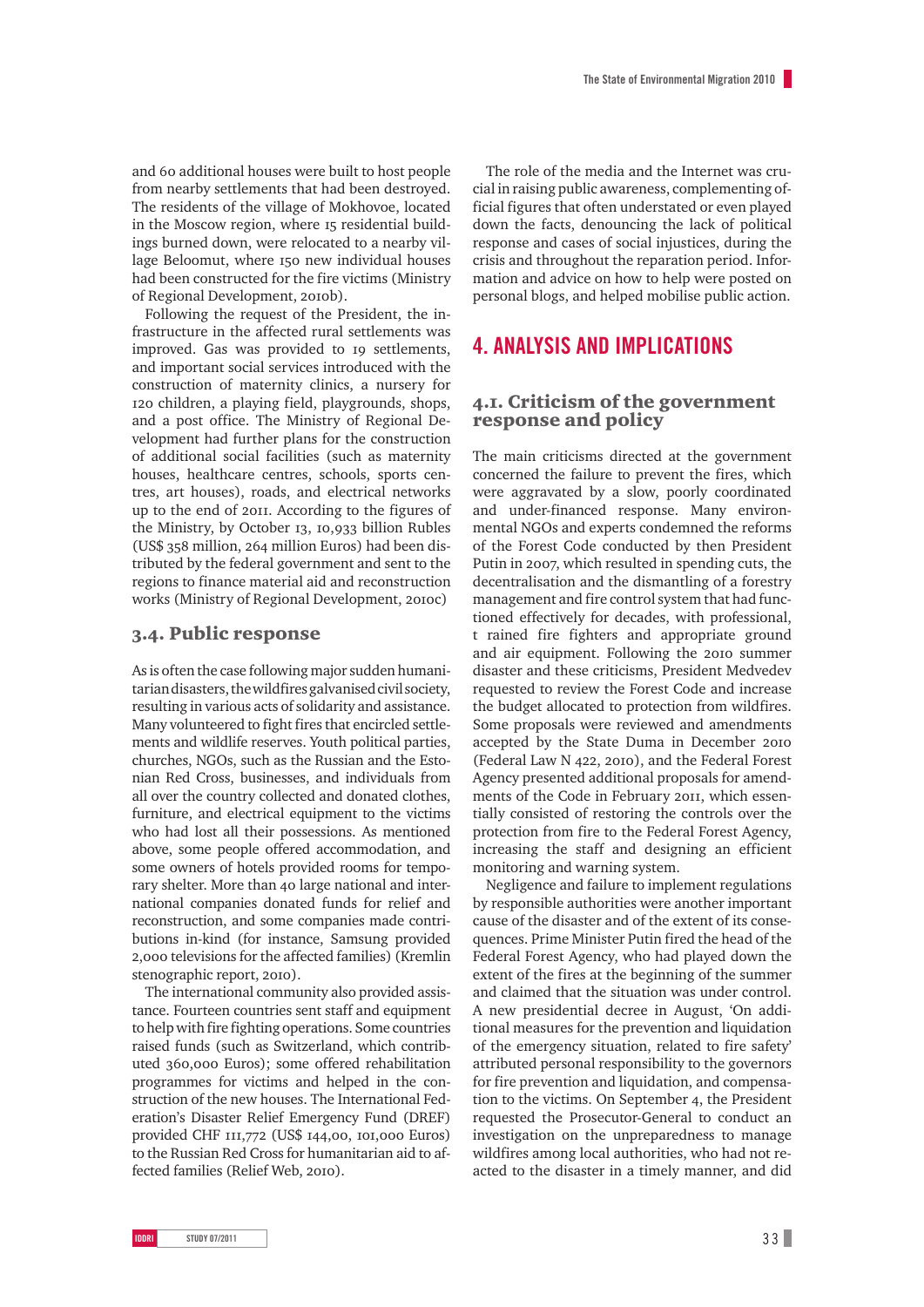and 60 additional houses were built to host people from nearby settlements that had been destroyed. The residents of the village of Mokhovoe, located in the Moscow region, where 15 residential buildings burned down, were relocated to a nearby village Beloomut, where 150 new individual houses had been constructed for the fire victims (Ministry of Regional Development, 2010b).

Following the request of the President, the infrastructure in the affected rural settlements was improved. Gas was provided to 19 settlements, and important social services introduced with the construction of maternity clinics, a nursery for 120 children, a playing field, playgrounds, shops, and a post office. The Ministry of Regional Development had further plans for the construction of additional social facilities (such as maternity houses, healthcare centres, schools, sports centres, art houses), roads, and electrical networks up to the end of 2011. According to the figures of the Ministry, by October 13, 10,933 billion Rubles (US\$ 358 million, 264 million Euros) had been distributed by the federal government and sent to the regions to finance material aid and reconstruction works (Ministry of Regional Development, 2010c)

#### 3.4. Public response

As is often the case following major sudden humanitarian disasters, the wildfires galvanised civil society, resulting in various acts of solidarity and assistance. Many volunteered to fight fires that encircled settlements and wildlife reserves. Youth political parties, churches, NGOs, such as the Russian and the Estonian Red Cross, businesses, and individuals from all over the country collected and donated clothes, furniture, and electrical equipment to the victims who had lost all their possessions. As mentioned above, some people offered accommodation, and some owners of hotels provided rooms for temporary shelter. More than 40 large national and international companies donated funds for relief and reconstruction, and some companies made contributions in-kind (for instance, Samsung provided 2,000 televisions for the affected families) (Kremlin stenographic report, 2010).

The international community also provided assistance. Fourteen countries sent staff and equipment to help with fire fighting operations. Some countries raised funds (such as Switzerland, which contributed 360,000 Euros); some offered rehabilitation programmes for victims and helped in the construction of the new houses. The International Federation's Disaster Relief Emergency Fund (DREF) provided CHF 111,772 (US\$ 144,00, 101,000 Euros) to the Russian Red Cross for humanitarian aid to affected families (Relief Web, 2010).

The role of the media and the Internet was crucial in raising public awareness, complementing official figures that often understated or even played down the facts, denouncing the lack of political response and cases of social injustices, during the crisis and throughout the reparation period. Information and advice on how to help were posted on personal blogs, and helped mobilise public action.

## **4. Analysis and implications**

#### 4.1. Criticism of the government response and policy

The main criticisms directed at the government concerned the failure to prevent the fires, which were aggravated by a slow, poorly coordinated and under-financed response. Many environmental NGOs and experts condemned the reforms of the Forest Code conducted by then President Putin in 2007, which resulted in spending cuts, the decentralisation and the dismantling of a forestry management and fire control system that had functioned effectively for decades, with professional, t rained fire fighters and appropriate ground and air equipment. Following the 2010 summer disaster and these criticisms, President Medvedev requested to review the Forest Code and increase the budget allocated to protection from wildfires. Some proposals were reviewed and amendments accepted by the State Duma in December 2010 (Federal Law N 422, 2010), and the Federal Forest Agency presented additional proposals for amendments of the Code in February 2011, which essentially consisted of restoring the controls over the protection from fire to the Federal Forest Agency, increasing the staff and designing an efficient monitoring and warning system.

Negligence and failure to implement regulations by responsible authorities were another important cause of the disaster and of the extent of its consequences. Prime Minister Putin fired the head of the Federal Forest Agency, who had played down the extent of the fires at the beginning of the summer and claimed that the situation was under control. A new presidential decree in August, 'On additional measures for the prevention and liquidation of the emergency situation, related to fire safety' attributed personal responsibility to the governors for fire prevention and liquidation, and compensation to the victims. On September 4, the President requested the Prosecutor-General to conduct an investigation on the unpreparedness to manage wildfires among local authorities, who had not reacted to the disaster in a timely manner, and did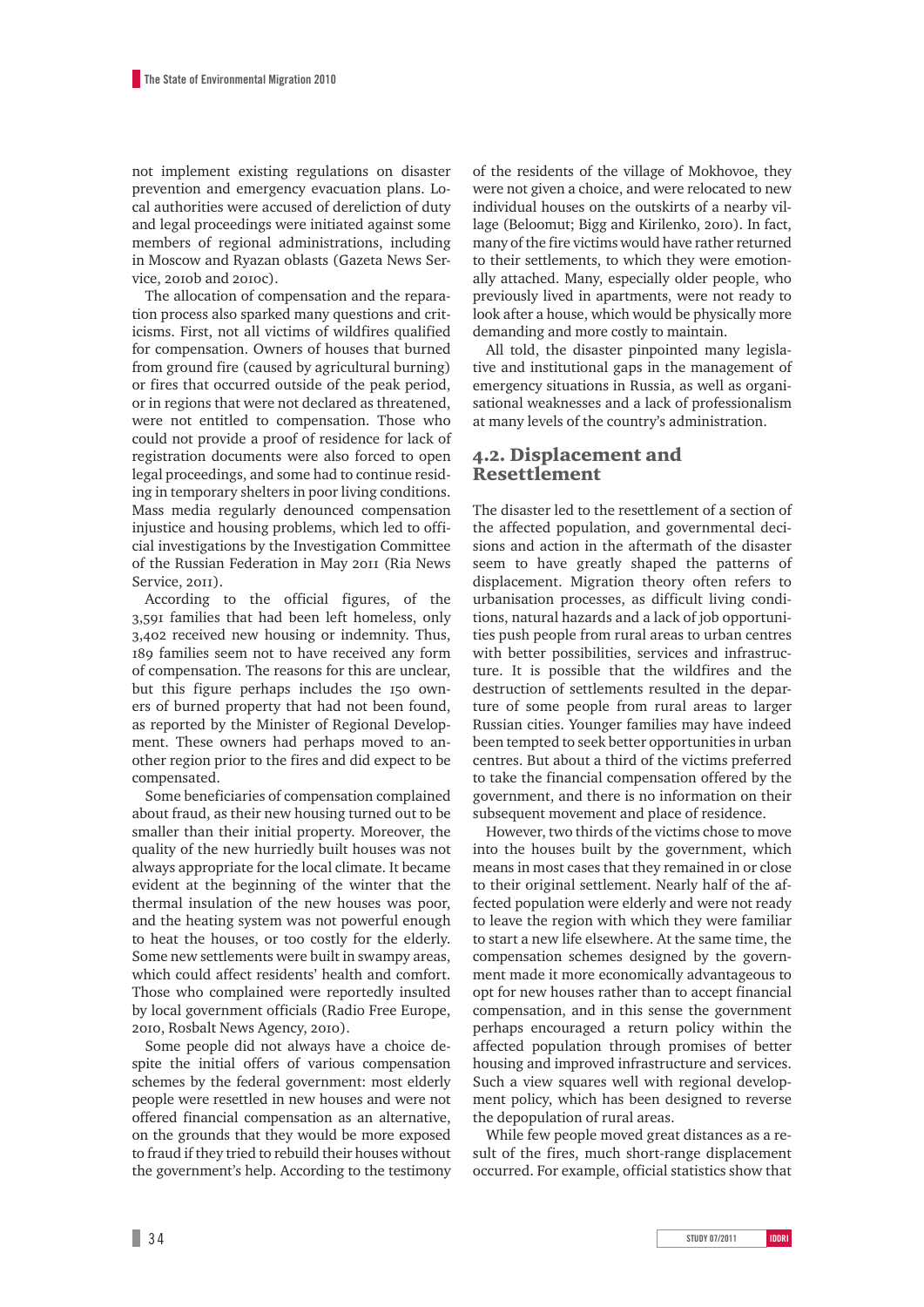not implement existing regulations on disaster prevention and emergency evacuation plans. Local authorities were accused of dereliction of duty and legal proceedings were initiated against some members of regional administrations, including in Moscow and Ryazan oblasts (Gazeta News Service, 2010b and 2010c).

The allocation of compensation and the reparation process also sparked many questions and criticisms. First, not all victims of wildfires qualified for compensation. Owners of houses that burned from ground fire (caused by agricultural burning) or fires that occurred outside of the peak period, or in regions that were not declared as threatened, were not entitled to compensation. Those who could not provide a proof of residence for lack of registration documents were also forced to open legal proceedings, and some had to continue residing in temporary shelters in poor living conditions. Mass media regularly denounced compensation injustice and housing problems, which led to official investigations by the Investigation Committee of the Russian Federation in May 2011 (Ria News Service, 2011).

According to the official figures, of the 3,591 families that had been left homeless, only 3,402 received new housing or indemnity. Thus, 189 families seem not to have received any form of compensation. The reasons for this are unclear, but this figure perhaps includes the 150 owners of burned property that had not been found, as reported by the Minister of Regional Development. These owners had perhaps moved to another region prior to the fires and did expect to be compensated.

Some beneficiaries of compensation complained about fraud, as their new housing turned out to be smaller than their initial property. Moreover, the quality of the new hurriedly built houses was not always appropriate for the local climate. It became evident at the beginning of the winter that the thermal insulation of the new houses was poor, and the heating system was not powerful enough to heat the houses, or too costly for the elderly. Some new settlements were built in swampy areas, which could affect residents' health and comfort. Those who complained were reportedly insulted by local government officials (Radio Free Europe, 2010, Rosbalt News Agency, 2010).

Some people did not always have a choice despite the initial offers of various compensation schemes by the federal government: most elderly people were resettled in new houses and were not offered financial compensation as an alternative, on the grounds that they would be more exposed to fraud if they tried to rebuild their houses without the government's help. According to the testimony of the residents of the village of Mokhovoe, they were not given a choice, and were relocated to new individual houses on the outskirts of a nearby village (Beloomut; Bigg and Kirilenko, 2010). In fact, many of the fire victims would have rather returned to their settlements, to which they were emotionally attached. Many, especially older people, who previously lived in apartments, were not ready to look after a house, which would be physically more demanding and more costly to maintain.

All told, the disaster pinpointed many legislative and institutional gaps in the management of emergency situations in Russia, as well as organisational weaknesses and a lack of professionalism at many levels of the country's administration.

#### 4.2. Displacement and Resettlement

The disaster led to the resettlement of a section of the affected population, and governmental decisions and action in the aftermath of the disaster seem to have greatly shaped the patterns of displacement. Migration theory often refers to urbanisation processes, as difficult living conditions, natural hazards and a lack of job opportunities push people from rural areas to urban centres with better possibilities, services and infrastructure. It is possible that the wildfires and the destruction of settlements resulted in the departure of some people from rural areas to larger Russian cities. Younger families may have indeed been tempted to seek better opportunities in urban centres. But about a third of the victims preferred to take the financial compensation offered by the government, and there is no information on their subsequent movement and place of residence.

However, two thirds of the victims chose to move into the houses built by the government, which means in most cases that they remained in or close to their original settlement. Nearly half of the affected population were elderly and were not ready to leave the region with which they were familiar to start a new life elsewhere. At the same time, the compensation schemes designed by the government made it more economically advantageous to opt for new houses rather than to accept financial compensation, and in this sense the government perhaps encouraged a return policy within the affected population through promises of better housing and improved infrastructure and services. Such a view squares well with regional development policy, which has been designed to reverse the depopulation of rural areas.

While few people moved great distances as a result of the fires, much short-range displacement occurred. For example, official statistics show that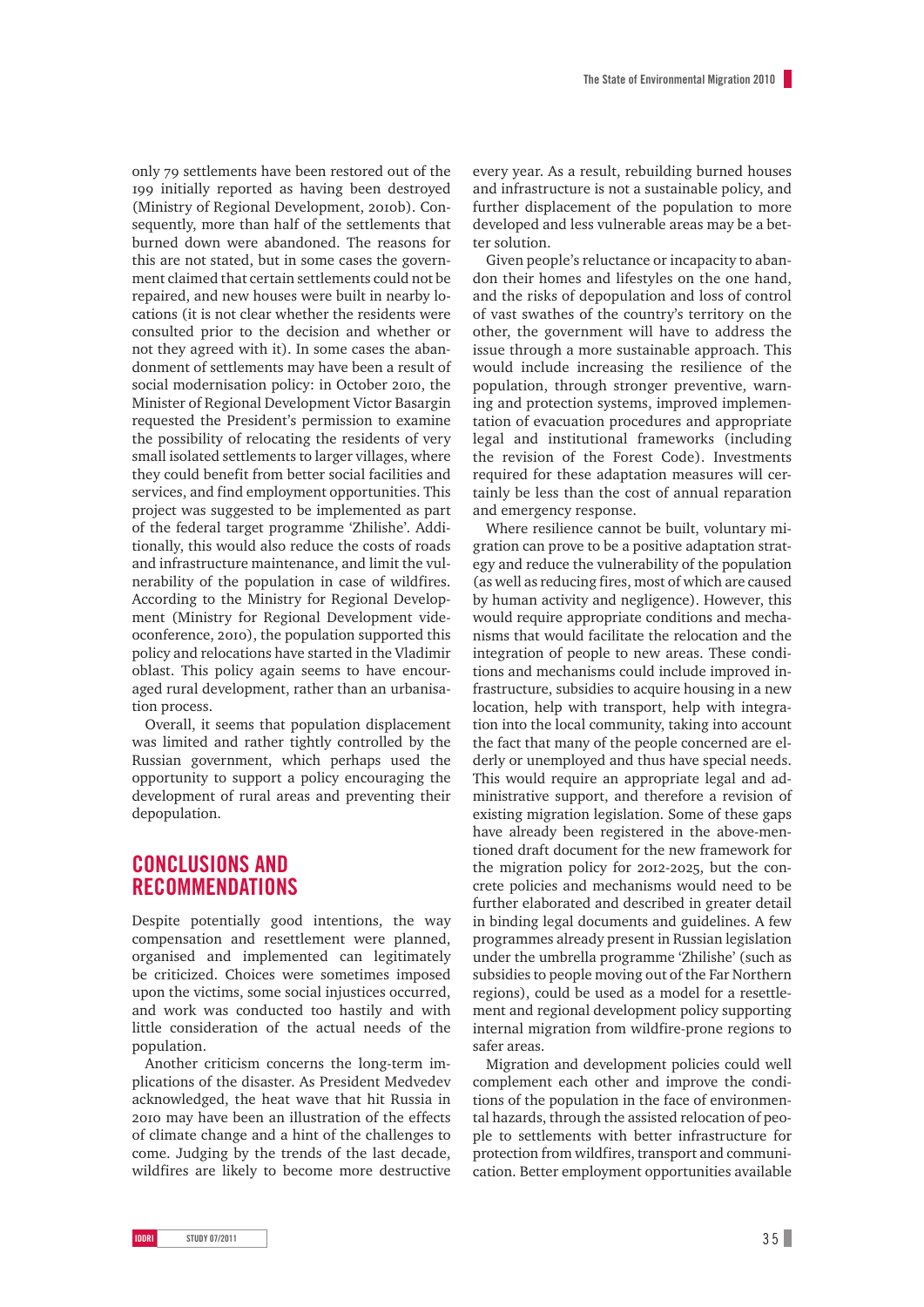only 79 settlements have been restored out of the 199 initially reported as having been destroyed (Ministry of Regional Development, 2010b). Consequently, more than half of the settlements that burned down were abandoned. The reasons for this are not stated, but in some cases the government claimed that certain settlements could not be repaired, and new houses were built in nearby locations (it is not clear whether the residents were consulted prior to the decision and whether or not they agreed with it). In some cases the abandonment of settlements may have been a result of social modernisation policy: in October 2010, the Minister of Regional Development Victor Basargin requested the President's permission to examine the possibility of relocating the residents of very small isolated settlements to larger villages, where they could benefit from better social facilities and services, and find employment opportunities. This project was suggested to be implemented as part of the federal target programme 'Zhilishe'. Additionally, this would also reduce the costs of roads and infrastructure maintenance, and limit the vulnerability of the population in case of wildfires. According to the Ministry for Regional Development (Ministry for Regional Development videoconference, 2010), the population supported this policy and relocations have started in the Vladimir oblast. This policy again seems to have encouraged rural development, rather than an urbanisation process.

Overall, it seems that population displacement was limited and rather tightly controlled by the Russian government, which perhaps used the opportunity to support a policy encouraging the development of rural areas and preventing their depopulation.

## **Conclusions and recommendations**

Despite potentially good intentions, the way compensation and resettlement were planned, organised and implemented can legitimately be criticized. Choices were sometimes imposed upon the victims, some social injustices occurred, and work was conducted too hastily and with little consideration of the actual needs of the population.

Another criticism concerns the long-term implications of the disaster. As President Medvedev acknowledged, the heat wave that hit Russia in 2010 may have been an illustration of the effects of climate change and a hint of the challenges to come. Judging by the trends of the last decade, wildfires are likely to become more destructive every year. As a result, rebuilding burned houses and infrastructure is not a sustainable policy, and further displacement of the population to more developed and less vulnerable areas may be a better solution.

Given people's reluctance or incapacity to abandon their homes and lifestyles on the one hand, and the risks of depopulation and loss of control of vast swathes of the country's territory on the other, the government will have to address the issue through a more sustainable approach. This would include increasing the resilience of the population, through stronger preventive, warning and protection systems, improved implementation of evacuation procedures and appropriate legal and institutional frameworks (including the revision of the Forest Code). Investments required for these adaptation measures will certainly be less than the cost of annual reparation and emergency response.

Where resilience cannot be built, voluntary migration can prove to be a positive adaptation strategy and reduce the vulnerability of the population (as well as reducing fires, most of which are caused by human activity and negligence). However, this would require appropriate conditions and mechanisms that would facilitate the relocation and the integration of people to new areas. These conditions and mechanisms could include improved infrastructure, subsidies to acquire housing in a new location, help with transport, help with integration into the local community, taking into account the fact that many of the people concerned are elderly or unemployed and thus have special needs. This would require an appropriate legal and administrative support, and therefore a revision of existing migration legislation. Some of these gaps have already been registered in the above-mentioned draft document for the new framework for the migration policy for 2012-2025, but the concrete policies and mechanisms would need to be further elaborated and described in greater detail in binding legal documents and guidelines. A few programmes already present in Russian legislation under the umbrella programme 'Zhilishe' (such as subsidies to people moving out of the Far Northern regions), could be used as a model for a resettlement and regional development policy supporting internal migration from wildfire-prone regions to safer areas.

Migration and development policies could well complement each other and improve the conditions of the population in the face of environmental hazards, through the assisted relocation of people to settlements with better infrastructure for protection from wildfires, transport and communication. Better employment opportunities available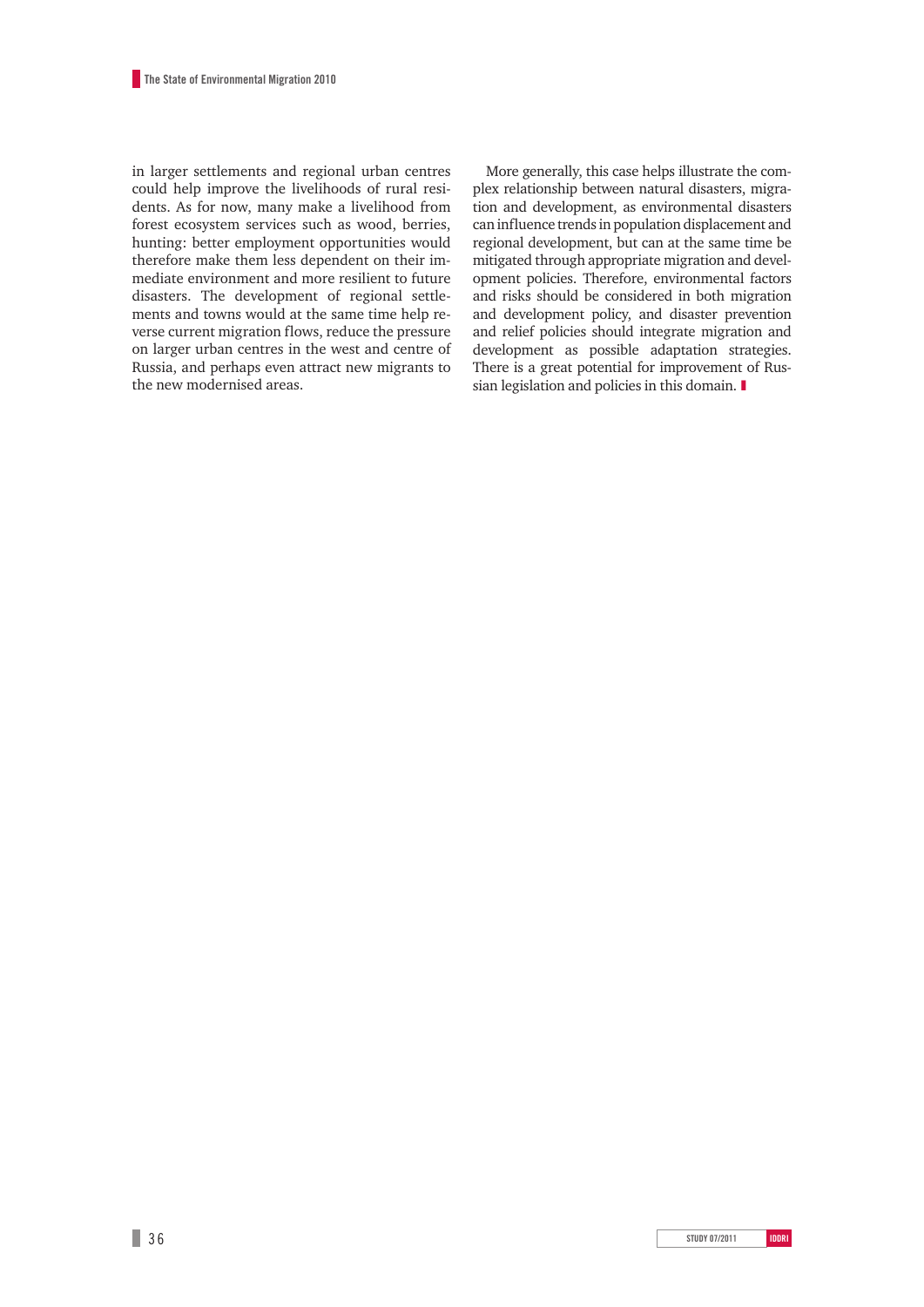in larger settlements and regional urban centres could help improve the livelihoods of rural residents. As for now, many make a livelihood from forest ecosystem services such as wood, berries, hunting: better employment opportunities would therefore make them less dependent on their immediate environment and more resilient to future disasters. The development of regional settlements and towns would at the same time help reverse current migration flows, reduce the pressure on larger urban centres in the west and centre of Russia, and perhaps even attract new migrants to the new modernised areas.

More generally, this case helps illustrate the complex relationship between natural disasters, migration and development, as environmental disasters can influence trends in population displacement and regional development, but can at the same time be mitigated through appropriate migration and development policies. Therefore, environmental factors and risks should be considered in both migration and development policy, and disaster prevention and relief policies should integrate migration and development as possible adaptation strategies. There is a great potential for improvement of Russian legislation and policies in this domain.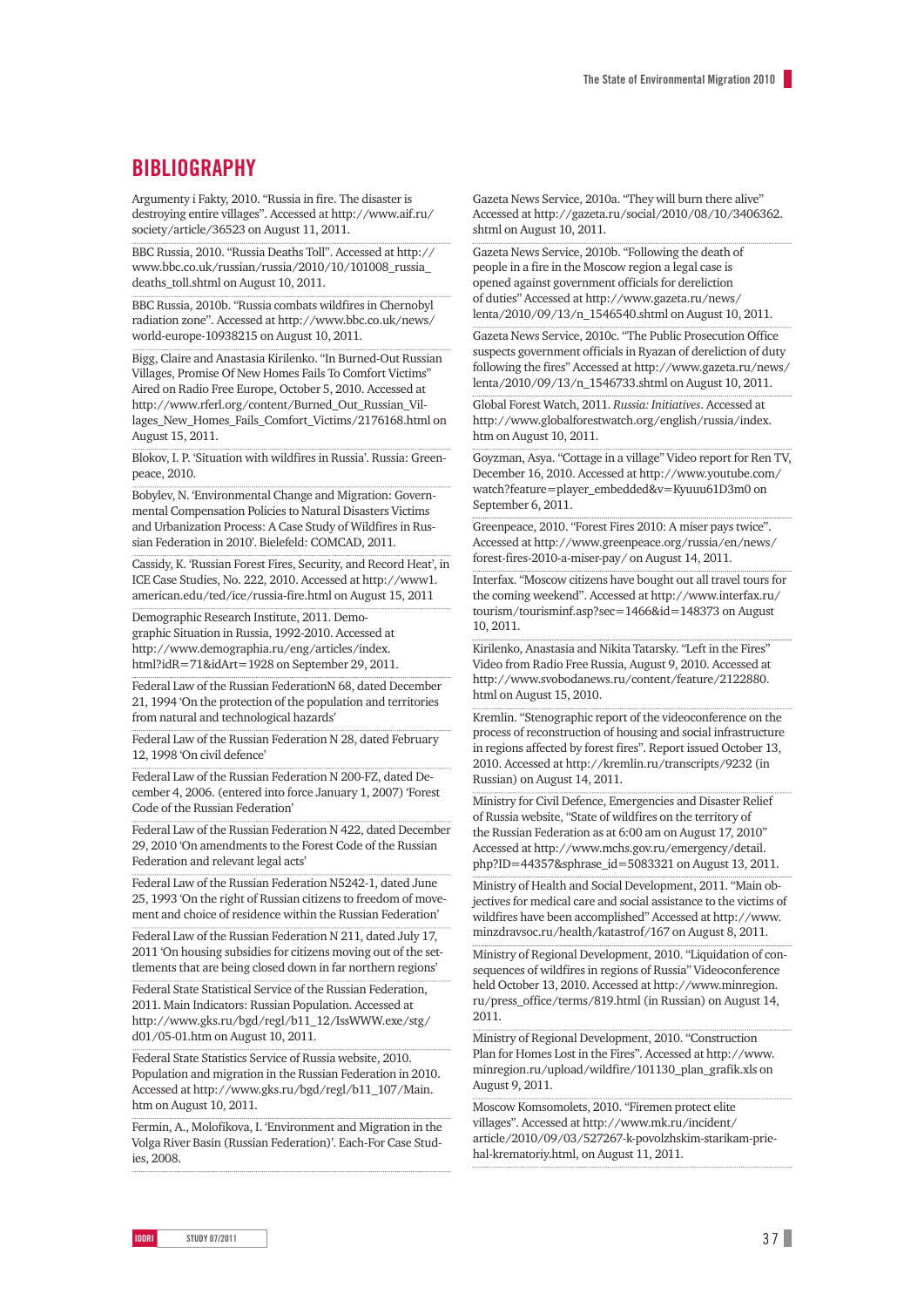### **BIBLIOGRAPHY**

Argumenty i Fakty, 2010. "Russia in fire. The disaster is destroying entire villages". Accessed at http://www.aif.ru/ society/article/36523 on August 11, 2011.

BBC Russia, 2010. "Russia Deaths Toll". Accessed at http:// www.bbc.co.uk/russian/russia/2010/10/101008\_russia\_ deaths toll.shtml on August 10, 2011.

BBC Russia, 2010b. "Russia combats wildfires in Chernobyl radiation zone". Accessed at http://www.bbc.co.uk/news/ world-europe-10938215 on August 10, 2011.

Bigg, Claire and Anastasia Kirilenko. "In Burned-Out Russian Villages, Promise Of New Homes Fails To Comfort Victims" Aired on Radio Free Europe, October 5, 2010. Accessed at http://www.rferl.org/content/Burned\_Out\_Russian\_Villages\_New\_Homes\_Fails\_Comfort\_Victims/2176168.html on August 15, 2011.

Blokov, I. P. 'Situation with wildfires in Russia'. Russia: Greenpeace, 2010.

Bobylev, N. 'Environmental Change and Migration: Governmental Compensation Policies to Natural Disasters Victims and Urbanization Process: A Case Study of Wildfires in Russian Federation in 2010'. Bielefeld: COMCAD, 2011.

Cassidy, K. 'Russian Forest Fires, Security, and Record Heat', in ICE Case Studies, No. 222, 2010. Accessed at http://www1. american.edu/ted/ice/russia-fire.html on August 15, 2011

Demographic Research Institute, 2011. Demo-

graphic Situation in Russia, 1992-2010. Accessed at http://www.demographia.ru/eng/articles/index. html?idR=71&idArt=1928 on September 29, 2011.

Federal Law of the Russian FederationN 68, dated December 21, 1994 'On the protection of the population and territories from natural and technological hazards'

Federal Law of the Russian Federation N 28, dated February 12, 1998 'On civil defence'

Federal Law of the Russian Federation N 200-FZ, dated December 4, 2006. (entered into force January 1, 2007) 'Forest Code of the Russian Federation'

Federal Law of the Russian Federation N 422, dated December 29, 2010 'On amendments to the Forest Code of the Russian Federation and relevant legal acts'

Federal Law of the Russian Federation N5242-1, dated June 25, 1993 'On the right of Russian citizens to freedom of movement and choice of residence within the Russian Federation'

Federal Law of the Russian Federation N 211, dated July 17, 2011 'On housing subsidies for citizens moving out of the settlements that are being closed down in far northern regions'

Federal State Statistical Service of the Russian Federation, 2011. Main Indicators: Russian Population. Accessed at http://www.gks.ru/bgd/regl/b11\_12/IssWWW.exe/stg/ d01/05-01.htm on August 10, 2011.

Federal State Statistics Service of Russia website, 2010. Population and migration in the Russian Federation in 2010. Accessed at http://www.gks.ru/bgd/regl/b11\_107/Main. htm on August 10, 2011.

Fermin, A., Molofikova, I. 'Environment and Migration in the Volga River Basin (Russian Federation)'. Each-For Case Studies, 2008.

Gazeta News Service, 2010a. "They will burn there alive" Accessed at http://gazeta.ru/social/2010/08/10/3406362. shtml on August 10, 2011.

Gazeta News Service, 2010b. "Following the death of people in a fire in the Moscow region a legal case is opened against government officials for dereliction of duties" Accessed at http://www.gazeta.ru/news/ lenta/2010/09/13/n\_1546540.shtml on August 10, 2011.

Gazeta News Service, 2010c. "The Public Prosecution Office suspects government officials in Ryazan of dereliction of duty following the fires" Accessed at http://www.gazeta.ru/news/ lenta/2010/09/13/n\_1546733.shtml on August 10, 2011.

Global Forest Watch, 2011. *Russia: Initiatives*. Accessed at http://www.globalforestwatch.org/english/russia/index. htm on August 10, 2011.

Goyzman, Asya. "Cottage in a village" Video report for Ren TV, December 16, 2010. Accessed at http://www.youtube.com/ watch?feature=player\_embedded&v=Kyuuu61D3m0 on September 6, 2011.

Greenpeace, 2010. "Forest Fires 2010: A miser pays twice". Accessed at http://www.greenpeace.org/russia/en/news/ forest-fires-2010-a-miser-pay/ on August 14, 2011.

Interfax. "Moscow citizens have bought out all travel tours for the coming weekend". Accessed at http://www.interfax.ru/ tourism/tourisminf.asp?sec=1466&id=148373 on August 10, 2011.

Kirilenko, Anastasia and Nikita Tatarsky. "Left in the Fires" Video from Radio Free Russia, August 9, 2010. Accessed at http://www.svobodanews.ru/content/feature/2122880. html on August 15, 2010.

Kremlin. "Stenographic report of the videoconference on the process of reconstruction of housing and social infrastructure in regions affected by forest fires". Report issued October 13, 2010. Accessed at http://kremlin.ru/transcripts/9232 (in Russian) on August 14, 2011.

Ministry for Civil Defence, Emergencies and Disaster Relief of Russia website, "State of wildfires on the territory of the Russian Federation as at 6:00 am on August 17, 2010" Accessed at http://www.mchs.gov.ru/emergency/detail. php?ID=44357&sphrase\_id=5083321 on August 13, 2011.

Ministry of Health and Social Development, 2011. "Main objectives for medical care and social assistance to the victims of wildfires have been accomplished" Accessed at http://www. minzdravsoc.ru/health/katastrof/167 on August 8, 2011.

Ministry of Regional Development, 2010. "Liquidation of consequences of wildfires in regions of Russia" Videoconference held October 13, 2010. Accessed at http://www.minregion. ru/press\_office/terms/819.html (in Russian) on August 14, 2011.

Ministry of Regional Development, 2010. "Construction Plan for Homes Lost in the Fires". Accessed at http://www. minregion.ru/upload/wildfire/101130\_plan\_grafik.xls on August 9, 2011.

Moscow Komsomolets, 2010. "Firemen protect elite villages". Accessed at http://www.mk.ru/incident/ article/2010/09/03/527267-k-povolzhskim-starikam-priehal-krematoriy.html, on August 11, 2011.